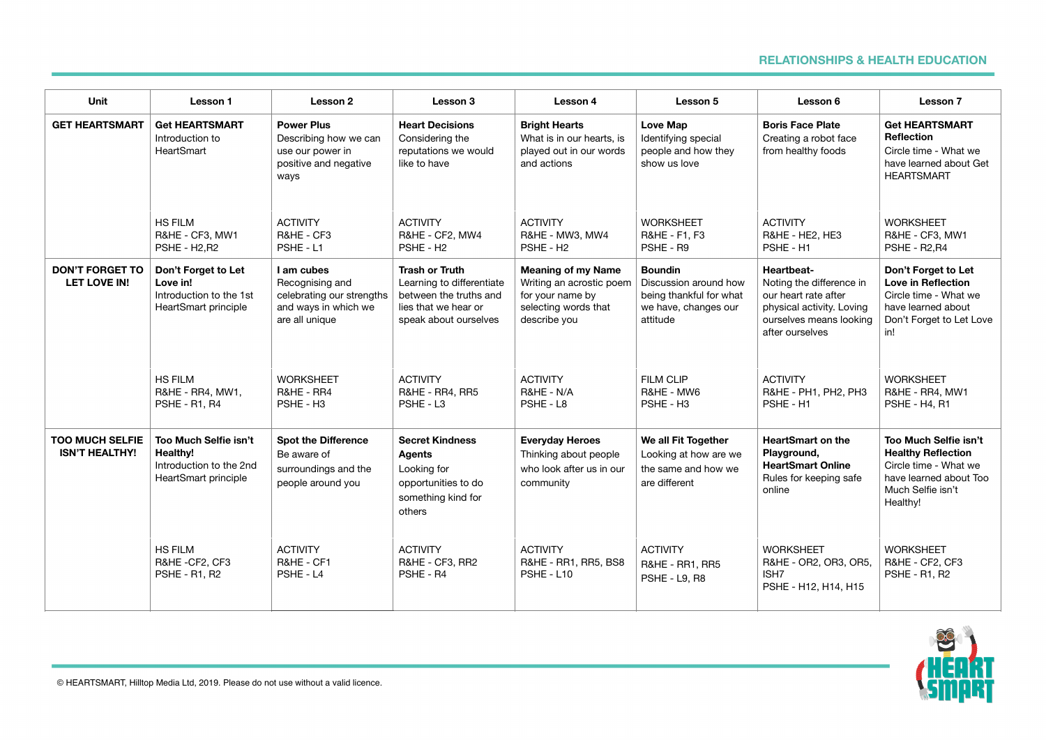## **RELATIONSHIPS & HEALTH EDUCATION**

| Unit                                            | Lesson 1                                                                             | Lesson 2                                                                                             | Lesson 3                                                                                                                      | Lesson 4                                                                                                          | Lesson 5                                                                                               | Lesson 6                                                                                                                                  | Lesson 7                                                                                                                               |
|-------------------------------------------------|--------------------------------------------------------------------------------------|------------------------------------------------------------------------------------------------------|-------------------------------------------------------------------------------------------------------------------------------|-------------------------------------------------------------------------------------------------------------------|--------------------------------------------------------------------------------------------------------|-------------------------------------------------------------------------------------------------------------------------------------------|----------------------------------------------------------------------------------------------------------------------------------------|
| <b>GET HEARTSMART</b>                           | <b>Get HEARTSMART</b><br>Introduction to<br>HeartSmart                               | <b>Power Plus</b><br>Describing how we can<br>use our power in<br>positive and negative<br>ways      | <b>Heart Decisions</b><br>Considering the<br>reputations we would<br>like to have                                             | <b>Bright Hearts</b><br>What is in our hearts, is<br>played out in our words<br>and actions                       | <b>Love Map</b><br>Identifying special<br>people and how they<br>show us love                          | <b>Boris Face Plate</b><br>Creating a robot face<br>from healthy foods                                                                    | <b>Get HEARTSMART</b><br><b>Reflection</b><br>Circle time - What we<br>have learned about Get<br><b>HEARTSMART</b>                     |
|                                                 | <b>HS FILM</b><br>R&HE - CF3, MW1<br><b>PSHE - H2, R2</b>                            | <b>ACTIVITY</b><br>R&HE - CF3<br>PSHE - L1                                                           | <b>ACTIVITY</b><br>R&HE - CF2, MW4<br>PSHE - H <sub>2</sub>                                                                   | <b>ACTIVITY</b><br>R&HE - MW3, MW4<br>PSHE - H <sub>2</sub>                                                       | <b>WORKSHEET</b><br>R&HE - F1, F3<br>PSHE - R9                                                         | <b>ACTIVITY</b><br>R&HE - HE2, HE3<br>PSHE - H1                                                                                           | <b>WORKSHEET</b><br>R&HE - CF3, MW1<br>PSHE - R2, R4                                                                                   |
| <b>DON'T FORGET TO</b><br>LET LOVE IN!          | Don't Forget to Let<br>Love in!<br>Introduction to the 1st<br>HeartSmart principle   | I am cubes<br>Recognising and<br>celebrating our strengths<br>and ways in which we<br>are all unique | <b>Trash or Truth</b><br>Learning to differentiate<br>between the truths and<br>lies that we hear or<br>speak about ourselves | <b>Meaning of my Name</b><br>Writing an acrostic poem<br>for your name by<br>selecting words that<br>describe you | <b>Boundin</b><br>Discussion around how<br>being thankful for what<br>we have, changes our<br>attitude | Heartbeat-<br>Noting the difference in<br>our heart rate after<br>physical activity. Loving<br>ourselves means looking<br>after ourselves | Don't Forget to Let<br><b>Love in Reflection</b><br>Circle time - What we<br>have learned about<br>Don't Forget to Let Love<br>in!     |
|                                                 | <b>HS FILM</b><br>R&HE - RR4, MW1,<br>PSHE - R1, R4                                  | <b>WORKSHEET</b><br>R&HE - RR4<br>PSHE - H <sub>3</sub>                                              | <b>ACTIVITY</b><br>R&HE - RR4, RR5<br>PSHE - L3                                                                               | <b>ACTIVITY</b><br>R&HE - N/A<br>PSHE - L8                                                                        | <b>FILM CLIP</b><br>R&HE - MW6<br>PSHE - H <sub>3</sub>                                                | <b>ACTIVITY</b><br>R&HE - PH1, PH2, PH3<br>PSHE - H1                                                                                      | <b>WORKSHEET</b><br>R&HE - RR4, MW1<br><b>PSHE - H4, R1</b>                                                                            |
| <b>TOO MUCH SELFIE</b><br><b>ISN'T HEALTHY!</b> | Too Much Selfie isn't<br>Healthv!<br>Introduction to the 2nd<br>HeartSmart principle | <b>Spot the Difference</b><br>Be aware of<br>surroundings and the<br>people around you               | <b>Secret Kindness</b><br><b>Agents</b><br>Looking for<br>opportunities to do<br>something kind for<br>others                 | <b>Everyday Heroes</b><br>Thinking about people<br>who look after us in our<br>community                          | We all Fit Together<br>Looking at how are we<br>the same and how we<br>are different                   | <b>HeartSmart on the</b><br>Playground,<br><b>HeartSmart Online</b><br>Rules for keeping safe<br>online                                   | Too Much Selfie isn't<br><b>Healthy Reflection</b><br>Circle time - What we<br>have learned about Too<br>Much Selfie isn't<br>Healthy! |
|                                                 | <b>HS FILM</b><br>R&HE-CF2, CF3<br><b>PSHE - R1, R2</b>                              | <b>ACTIVITY</b><br>R&HE - CF1<br>PSHE - L4                                                           | <b>ACTIVITY</b><br>R&HE - CF3, RR2<br>PSHE - R4                                                                               | <b>ACTIVITY</b><br>R&HE - RR1, RR5, BS8<br>PSHE - L10                                                             | <b>ACTIVITY</b><br><b>R&amp;HE - RR1, RR5</b><br>PSHE - L9, R8                                         | <b>WORKSHEET</b><br>R&HE - OR2, OR3, OR5,<br>ISH7<br>PSHE - H12, H14, H15                                                                 | <b>WORKSHEET</b><br>R&HE - CF2, CF3<br><b>PSHE - R1, R2</b>                                                                            |